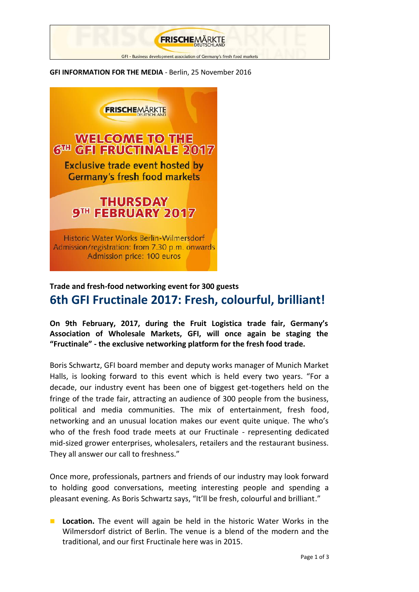

**GFI INFORMATION FOR THE MEDIA** - Berlin, 25 November 2016



## **Trade and fresh-food networking event for 300 guests 6th GFI Fructinale 2017: Fresh, colourful, brilliant!**

**On 9th February, 2017, during the Fruit Logistica trade fair, Germany's Association of Wholesale Markets, GFI, will once again be staging the "Fructinale" - the exclusive networking platform for the fresh food trade.**

Boris Schwartz, GFI board member and deputy works manager of Munich Market Halls, is looking forward to this event which is held every two years. "For a decade, our industry event has been one of biggest get-togethers held on the fringe of the trade fair, attracting an audience of 300 people from the business, political and media communities. The mix of entertainment, fresh food, networking and an unusual location makes our event quite unique. The who's who of the fresh food trade meets at our Fructinale - representing dedicated mid-sized grower enterprises, wholesalers, retailers and the restaurant business. They all answer our call to freshness."

Once more, professionals, partners and friends of our industry may look forward to holding good conversations, meeting interesting people and spending a pleasant evening. As Boris Schwartz says, "It'll be fresh, colourful and brilliant."

**Location.** The event will again be held in the historic Water Works in the Wilmersdorf district of Berlin. The venue is a blend of the modern and the traditional, and our first Fructinale here was in 2015.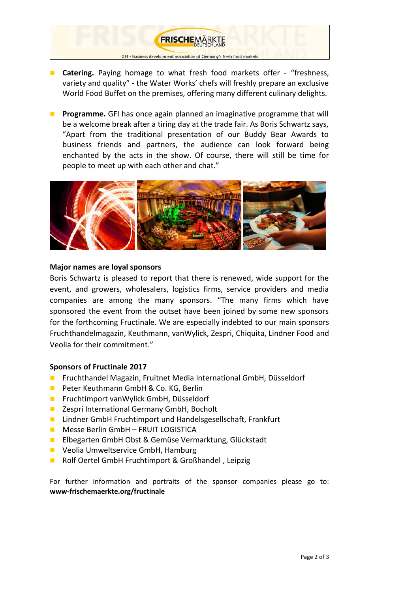## GFI - Business development association of Germany's fresh food market

**FRISCHEMÄRKTE** 

- **Catering.** Paying homage to what fresh food markets offer "freshness, variety and quality" - the Water Works' chefs will freshly prepare an exclusive World Food Buffet on the premises, offering many different culinary delights.
- **Programme.** GFI has once again planned an imaginative programme that will be a welcome break after a tiring day at the trade fair. As Boris Schwartz says, "Apart from the traditional presentation of our Buddy Bear Awards to business friends and partners, the audience can look forward being enchanted by the acts in the show. Of course, there will still be time for people to meet up with each other and chat."



## **Major names are loyal sponsors**

Boris Schwartz is pleased to report that there is renewed, wide support for the event, and growers, wholesalers, logistics firms, service providers and media companies are among the many sponsors. "The many firms which have sponsored the event from the outset have been joined by some new sponsors for the forthcoming Fructinale. We are especially indebted to our main sponsors Fruchthandelmagazin, Keuthmann, vanWylick, Zespri, Chiquita, Lindner Food and Veolia for their commitment."

## **Sponsors of Fructinale 2017**

- Fruchthandel Magazin, Fruitnet Media International GmbH, Düsseldorf
- **Peter Keuthmann GmbH & Co. KG, Berlin**
- **Fruchtimport van Wylick GmbH, Düsseldorf**
- **E** Zespri International Germany GmbH, Bocholt
- **Lindner GmbH Fruchtimport und Handelsgesellschaft, Frankfurt**
- **Messe Berlin GmbH FRUIT LOGISTICA**
- **E** Elbegarten GmbH Obst & Gemüse Vermarktung, Glückstadt
- **U** Veolia Umweltservice GmbH, Hamburg
- Rolf Oertel GmbH Fruchtimport & Großhandel, Leipzig

For further information and portraits of the sponsor companies please go to: **www-frischemaerkte.org/fructinale**